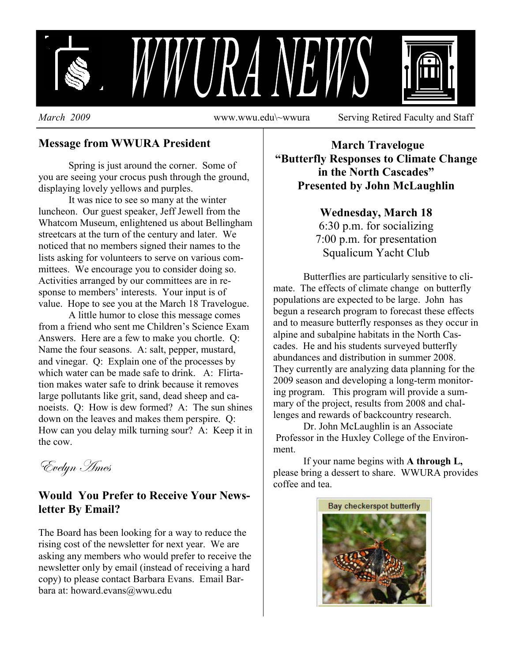

**Message from WWURA President**

Spring is just around the corner. Some of you are seeing your crocus push through the ground, displaying lovely yellows and purples.

It was nice to see so many at the winter luncheon. Our guest speaker, Jeff Jewell from the Whatcom Museum, enlightened us about Bellingham streetcars at the turn of the century and later. We noticed that no members signed their names to the lists asking for volunteers to serve on various committees. We encourage you to consider doing so. Activities arranged by our committees are in response to members' interests. Your input is of value. Hope to see you at the March 18 Travelogue.

A little humor to close this message comes from a friend who sent me Children's Science Exam Answers. Here are a few to make you chortle. Q: Name the four seasons. A: salt, pepper, mustard, and vinegar. Q: Explain one of the processes by which water can be made safe to drink. A: Flirtation makes water safe to drink because it removes large pollutants like grit, sand, dead sheep and canoeists. Q: How is dew formed? A: The sun shines down on the leaves and makes them perspire. Q: How can you delay milk turning sour? A: Keep it in the cow.

Evelyn *Ames* 

## **Would You Prefer to Receive Your Newsletter By Email?**

The Board has been looking for a way to reduce the rising cost of the newsletter for next year. We are asking any members who would prefer to receive the newsletter only by email (instead of receiving a hard copy) to please contact Barbara Evans. Email Barbara at: howard.evans@wwu.edu

 **March Travelogue "Butterfly Responses to Climate Change in the North Cascades" Presented by John McLaughlin** 

## **Wednesday, March 18**

6:30 p.m. for socializing 7:00 p.m. for presentation Squalicum Yacht Club

 Butterflies are particularly sensitive to climate. The effects of climate change on butterfly populations are expected to be large. John has begun a research program to forecast these effects and to measure butterfly responses as they occur in alpine and subalpine habitats in the North Cascades. He and his students surveyed butterfly abundances and distribution in summer 2008. They currently are analyzing data planning for the 2009 season and developing a long-term monitoring program. This program will provide a summary of the project, results from 2008 and challenges and rewards of backcountry research.

 Dr. John McLaughlin is an Associate Professor in the Huxley College of the Environment.

 If your name begins with **A through L,**  please bring a dessert to share. WWURA provides coffee and tea.

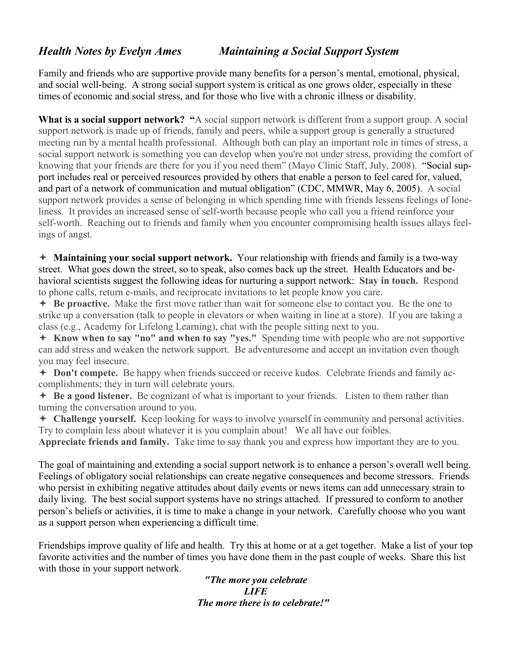## *Health Notes by Evelyn Ames**Maintaining a Social Support System*

Family and friends who are supportive provide many benefits for a person's mental, emotional, physical, and social well-being. A strong social support system is critical as one grows older, especially in these times of economic and social stress, and for those who live with a chronic illness or disability.

What is a social support network? "A social support network is different from a support group. A social support network is made up of friends, family and peers, while a support group is generally a structured meeting run by a mental health professional. Although both can play an important role in times of stress, a social support network is something you can develop when you're not under stress, providing the comfort of knowing that your friends are there for you if you need them" (Mayo Clinic Staff, July, 2008). "Social support includes real or perceived resources provided by others that enable a person to feel cared for, valued, and part of a network of communication and mutual obligation" (CDC, MMWR, May 6, 2005). A social support network provides a sense of belonging in which spending time with friends lessens feelings of loneliness. It provides an increased sense of self-worth because people who call you a friend reinforce your self-worth. Reaching out to friends and family when you encounter compromising health issues allays feelings of angst.

 **Maintaining your social support network.** Your relationship with friends and family is a two-way street. What goes down the street, so to speak, also comes back up the street. Health Educators and behavioral scientists suggest the following ideas for nurturing a support network: **Stay in touch.** Respond to phone calls, return e-mails, and reciprocate invitations to let people know you care.

 **Be proactive.** Make the first move rather than wait for someone else to contact you. Be the one to strike up a conversation (talk to people in elevators or when waiting in line at a store). If you are taking a class (e.g., Academy for Lifelong Learning), chat with the people sitting next to you.

 **Know when to say "no" and when to say "yes."** Spending time with people who are not supportive can add stress and weaken the network support. Be adventuresome and accept an invitation even though you may feel insecure.

 **Don't compete.** Be happy when friends succeed or receive kudos. Celebrate friends and family accomplishments; they in turn will celebrate yours.

 **Be a good listener.** Be cognizant of what is important to your friends. Listen to them rather than turning the conversation around to you.

 **Challenge yourself.** Keep looking for ways to involve yourself in community and personal activities. Try to complain less about whatever it is you complain about! We all have our foibles.

**Appreciate friends and family.** Take time to say thank you and express how important they are to you.

The goal of maintaining and extending a social support network is to enhance a person's overall well being. Feelings of obligatory social relationships can create negative consequences and become stressors. Friends who persist in exhibiting negative attitudes about daily events or news items can add unnecessary strain to daily living. The best social support systems have no strings attached. If pressured to conform to another person's beliefs or activities, it is time to make a change in your network. Carefully choose who you want as a support person when experiencing a difficult time.

Friendships improve quality of life and health. Try this at home or at a get together. Make a list of your top favorite activities and the number of times you have done them in the past couple of weeks. Share this list with those in your support network.

> *"The more you celebrate LIFE The more there is to celebrate!"*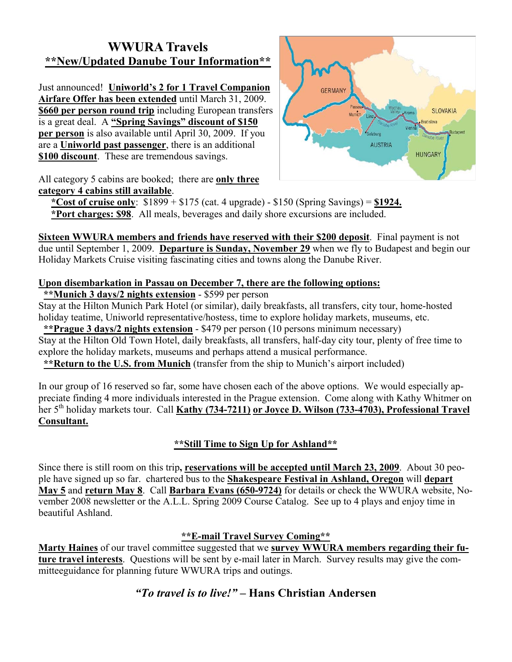## **WWURA Travels \*\*New/Updated Danube Tour Information\*\***

Just announced! **Uniworld's 2 for 1 Travel Companion Airfare Offer has been extended** until March 31, 2009. **\$660 per person round trip** including European transfers is a great deal. A **"Spring Savings" discount of \$150 per person** is also available until April 30, 2009. If you are a **Uniworld past passenger**, there is an additional **\$100 discount**. These are tremendous savings.



All category 5 cabins are booked; there are **only three category 4 cabins still available**.

 **\*Cost of cruise only**: \$1899 + \$175 (cat. 4 upgrade) - \$150 (Spring Savings) = **\$1924. \*Port charges: \$98**. All meals, beverages and daily shore excursions are included.

**Sixteen WWURA members and friends have reserved with their \$200 deposit**. Final payment is not due until September 1, 2009. **Departure is Sunday, November 29** when we fly to Budapest and begin our Holiday Markets Cruise visiting fascinating cities and towns along the Danube River.

## **Upon disembarkation in Passau on December 7, there are the following options:**

**\*\*Munich 3 days/2 nights extension** - \$599 per person

Stay at the Hilton Munich Park Hotel (or similar), daily breakfasts, all transfers, city tour, home-hosted holiday teatime, Uniworld representative/hostess, time to explore holiday markets, museums, etc.

 **\*\*Prague 3 days/2 nights extension** - \$479 per person (10 persons minimum necessary) Stay at the Hilton Old Town Hotel, daily breakfasts, all transfers, half-day city tour, plenty of free time to explore the holiday markets, museums and perhaps attend a musical performance.

**\*\*Return to the U.S. from Munich** (transfer from the ship to Munich's airport included)

In our group of 16 reserved so far, some have chosen each of the above options. We would especially appreciate finding 4 more individuals interested in the Prague extension. Come along with Kathy Whitmer on her 5th holiday markets tour. Call **Kathy (734-7211) or Joyce D. Wilson (733-4703), Professional Travel Consultant.**

## **\*\*Still Time to Sign Up for Ashland\*\***

Since there is still room on this trip**, reservations will be accepted until March 23, 2009**. About 30 people have signed up so far. chartered bus to the **Shakespeare Festival in Ashland, Oregon** will **depart May 5** and **return May 8**. Call **Barbara Evans (650-9724)** for details or check the WWURA website, November 2008 newsletter or the A.L.L. Spring 2009 Course Catalog. See up to 4 plays and enjoy time in beautiful Ashland.

## **\*\*E-mail Travel Survey Coming\*\***

**Marty Haines** of our travel committee suggested that we **survey WWURA members regarding their future travel interests**. Questions will be sent by e-mail later in March. Survey results may give the committeeguidance for planning future WWURA trips and outings.

## *"To travel is to live!"* **– Hans Christian Andersen**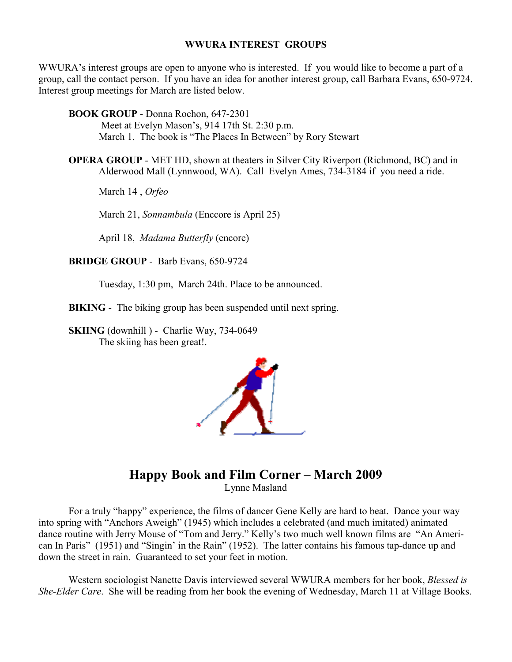#### **WWURA INTEREST GROUPS**

WWURA's interest groups are open to anyone who is interested. If you would like to become a part of a group, call the contact person. If you have an idea for another interest group, call Barbara Evans, 650-9724. Interest group meetings for March are listed below.

 **BOOK GROUP** - Donna Rochon, 647-2301

 Meet at Evelyn Mason's, 914 17th St. 2:30 p.m. March 1. The book is "The Places In Between" by Rory Stewart

 **OPERA GROUP** - MET HD, shown at theaters in Silver City Riverport (Richmond, BC) and in Alderwood Mall (Lynnwood, WA). Call Evelyn Ames, 734-3184 if you need a ride.

March 14 , *Orfeo* 

March 21, *Sonnambula* (Enccore is April 25)

April 18, *Madama Butterfly* (encore)

**BRIDGE GROUP** - Barb Evans, 650-9724

Tuesday, 1:30 pm, March 24th. Place to be announced.

**BIKING** - The biking group has been suspended until next spring.

 **SKIING** (downhill ) - Charlie Way, 734-0649 The skiing has been great!.



## **Happy Book and Film Corner – March 2009**

Lynne Masland

 For a truly "happy" experience, the films of dancer Gene Kelly are hard to beat. Dance your way into spring with "Anchors Aweigh" (1945) which includes a celebrated (and much imitated) animated dance routine with Jerry Mouse of "Tom and Jerry." Kelly's two much well known films are "An American In Paris" (1951) and "Singin' in the Rain" (1952). The latter contains his famous tap-dance up and down the street in rain. Guaranteed to set your feet in motion.

 Western sociologist Nanette Davis interviewed several WWURA members for her book, *Blessed is She-Elder Care*. She will be reading from her book the evening of Wednesday, March 11 at Village Books.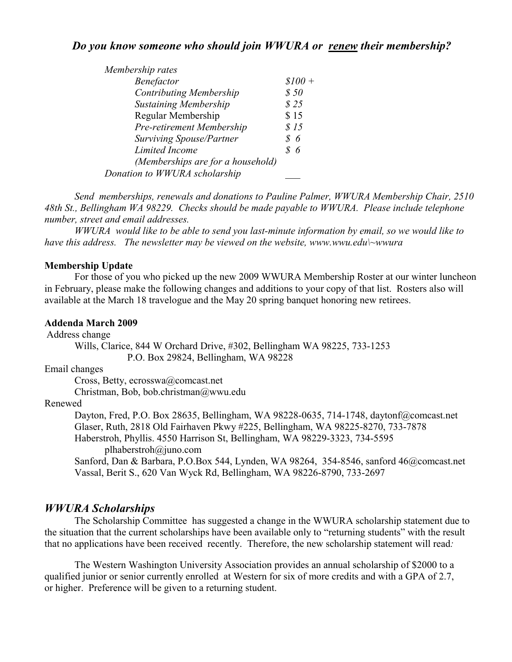## *Do you know someone who should join WWURA or renew their membership?*

 *Send memberships, renewals and donations to Pauline Palmer, WWURA Membership Chair, 2510 48th St., Bellingham WA 98229. Checks should be made payable to WWURA. Please include telephone number, street and email addresses.* 

 *WWURA would like to be able to send you last-minute information by email, so we would like to have this address. The newsletter may be viewed on the website, www.wwu.edu\~wwura* 

#### **Membership Update**

For those of you who picked up the new 2009 WWURA Membership Roster at our winter luncheon in February, please make the following changes and additions to your copy of that list. Rosters also will available at the March 18 travelogue and the May 20 spring banquet honoring new retirees.

#### **Addenda March 2009**

Address change Wills, Clarice, 844 W Orchard Drive, #302, Bellingham WA 98225, 733-1253 P.O. Box 29824, Bellingham, WA 98228

Email changes

Cross, Betty, ecrosswa@comcast.net

Christman, Bob, bob.christman@wwu.edu

#### Renewed

 Dayton, Fred, P.O. Box 28635, Bellingham, WA 98228-0635, 714-1748, daytonf@comcast.net Glaser, Ruth, 2818 Old Fairhaven Pkwy #225, Bellingham, WA 98225-8270, 733-7878 Haberstroh, Phyllis. 4550 Harrison St, Bellingham, WA 98229-3323, 734-5595

plhaberstroh@juno.com

Sanford, Dan & Barbara, P.O.Box 544, Lynden, WA 98264, 354-8546, sanford 46@comcast.net Vassal, Berit S., 620 Van Wyck Rd, Bellingham, WA 98226-8790, 733-2697

#### *WWURA Scholarships*

The Scholarship Committee has suggested a change in the WWURA scholarship statement due to the situation that the current scholarships have been available only to "returning students" with the result that no applications have been received recently. Therefore, the new scholarship statement will read*:* 

The Western Washington University Association provides an annual scholarship of \$2000 to a qualified junior or senior currently enrolled at Western for six of more credits and with a GPA of 2.7, or higher. Preference will be given to a returning student.